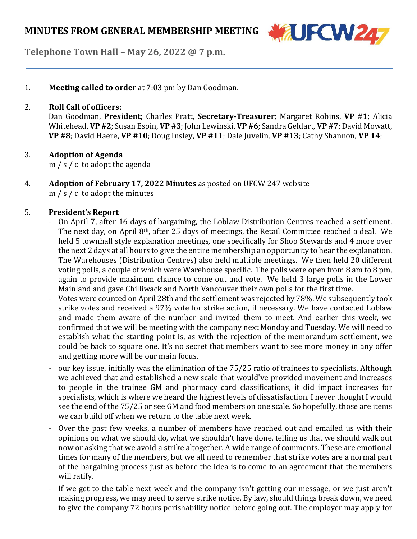

**Telephone Town Hall – May 26, 2022 @ 7 p.m.**

1. **Meeting called to order** at 7:03 pm by Dan Goodman.

### 2. **Roll Call of officers:**

Dan Goodman, **President**; Charles Pratt, **Secretary-Treasurer**; Margaret Robins, **VP #1**; Alicia Whitehead, **VP #2**;Susan Espin, **VP #3**; John Lewinski, **VP #6**;Sandra Geldart, **VP #7**; David Mowatt, **VP #8**; David Haere, **VP #10**; Doug Insley, **VP #11**; Dale Juvelin, **VP #13**; Cathy Shannon, **VP 14**;

## 3. **Adoption of Agenda**

m / s / c to adopt the agenda

4. **Adoption of February 17, 2022 Minutes** as posted on UFCW 247 website m / s / c to adopt the minutes

## 5. **President's Report**

- On April 7, after 16 days of bargaining, the Loblaw Distribution Centres reached a settlement. The next day, on April 8th, after 25 days of meetings, the Retail Committee reached a deal. We held 5 townhall style explanation meetings, one specifically for Shop Stewards and 4 more over the next 2 days at all hours to give the entire membership an opportunity to hear the explanation. The Warehouses (Distribution Centres) also held multiple meetings. We then held 20 different voting polls, a couple of which were Warehouse specific. The polls were open from 8 am to 8 pm, again to provide maximum chance to come out and vote. We held 3 large polls in the Lower Mainland and gave Chilliwack and North Vancouver their own polls for the first time.
- Votes were counted on April 28th and the settlement was rejected by 78%. We subsequently took strike votes and received a 97% vote for strike action, if necessary. We have contacted Loblaw and made them aware of the number and invited them to meet. And earlier this week, we confirmed that we will be meeting with the company next Monday and Tuesday. We will need to establish what the starting point is, as with the rejection of the memorandum settlement, we could be back to square one. It's no secret that members want to see more money in any offer and getting more will be our main focus.
- our key issue, initially was the elimination of the 75/25 ratio of trainees to specialists. Although we achieved that and established a new scale that would've provided movement and increases to people in the trainee GM and pharmacy card classifications, it did impact increases for specialists, which is where we heard the highest levels of dissatisfaction. I never thought I would see the end of the 75/25 or see GM and food members on one scale. So hopefully, those are items we can build off when we return to the table next week.
- Over the past few weeks, a number of members have reached out and emailed us with their opinions on what we should do, what we shouldn't have done, telling us that we should walk out now or asking that we avoid a strike altogether. A wide range of comments. These are emotional times for many of the members, but we all need to remember that strike votes are a normal part of the bargaining process just as before the idea is to come to an agreement that the members will ratify.
- If we get to the table next week and the company isn't getting our message, or we just aren't making progress, we may need to serve strike notice. By law, should things break down, we need to give the company 72 hours perishability notice before going out. The employer may apply for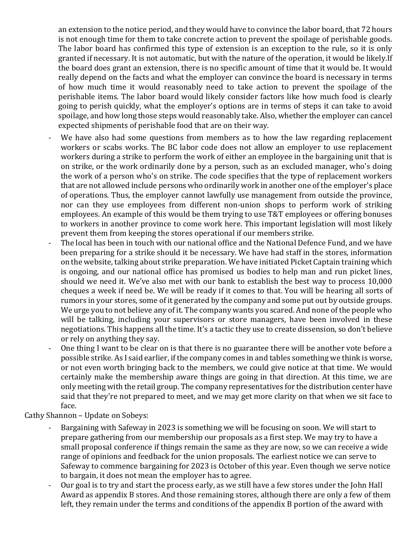an extension to the notice period, and they would have to convince the labor board, that 72 hours is not enough time for them to take concrete action to prevent the spoilage of perishable goods. The labor board has confirmed this type of extension is an exception to the rule, so it is only granted if necessary. It is not automatic, but with the nature of the operation, it would be likely.If the board does grant an extension, there is no specific amount of time that it would be. It would really depend on the facts and what the employer can convince the board is necessary in terms of how much time it would reasonably need to take action to prevent the spoilage of the perishable items. The labor board would likely consider factors like how much food is clearly going to perish quickly, what the employer's options are in terms of steps it can take to avoid spoilage, and how long those steps would reasonably take. Also, whether the employer can cancel expected shipments of perishable food that are on their way.

- We have also had some questions from members as to how the law regarding replacement workers or scabs works. The BC labor code does not allow an employer to use replacement workers during a strike to perform the work of either an employee in the bargaining unit that is on strike, or the work ordinarily done by a person, such as an excluded manager, who's doing the work of a person who's on strike. The code specifies that the type of replacement workers that are not allowed include persons who ordinarily work in another one of the employer's place of operations. Thus, the employer cannot lawfully use management from outside the province, nor can they use employees from different non-union shops to perform work of striking employees. An example of this would be them trying to use T&T employees or offering bonuses to workers in another province to come work here. This important legislation will most likely prevent them from keeping the stores operational if our members strike.
- The local has been in touch with our national office and the National Defence Fund, and we have been preparing for a strike should it be necessary. We have had staff in the stores, information on the website, talking about strike preparation. We have initiated Picket Captain training which is ongoing, and our national office has promised us bodies to help man and run picket lines, should we need it. We've also met with our bank to establish the best way to process 10,000 cheques a week if need be. We will be ready if it comes to that. You will be hearing all sorts of rumors in your stores, some of it generated by the company and some put out by outside groups. We urge you to not believe any of it. The company wants you scared. And none of the people who will be talking, including your supervisors or store managers, have been involved in these negotiations. This happens all the time. It's a tactic they use to create dissension, so don't believe or rely on anything they say.
- One thing I want to be clear on is that there is no guarantee there will be another vote before a possible strike. As I said earlier, if the company comes in and tables something we think is worse, or not even worth bringing back to the members, we could give notice at that time. We would certainly make the membership aware things are going in that direction. At this time, we are only meeting with the retail group. The company representatives for the distribution center have said that they're not prepared to meet, and we may get more clarity on that when we sit face to face.

Cathy Shannon – Update on Sobeys:

- Bargaining with Safeway in 2023 is something we will be focusing on soon. We will start to prepare gathering from our membership our proposals as a first step. We may try to have a small proposal conference if things remain the same as they are now, so we can receive a wide range of opinions and feedback for the union proposals. The earliest notice we can serve to Safeway to commence bargaining for 2023 is October of this year. Even though we serve notice to bargain, it does not mean the employer has to agree.
- Our goal is to try and start the process early, as we still have a few stores under the John Hall Award as appendix B stores. And those remaining stores, although there are only a few of them left, they remain under the terms and conditions of the appendix B portion of the award with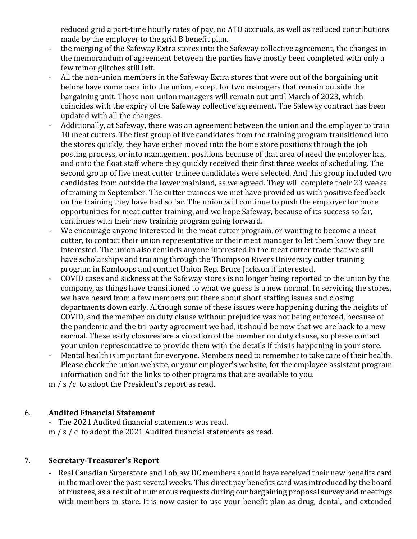reduced grid a part-time hourly rates of pay, no ATO accruals, as well as reduced contributions made by the employer to the grid B benefit plan.

- the merging of the Safeway Extra stores into the Safeway collective agreement, the changes in the memorandum of agreement between the parties have mostly been completed with only a few minor glitches still left.
- All the non-union members in the Safeway Extra stores that were out of the bargaining unit before have come back into the union, except for two managers that remain outside the bargaining unit. Those non-union managers will remain out until March of 2023, which coincides with the expiry of the Safeway collective agreement. The Safeway contract has been updated with all the changes.
- Additionally, at Safeway, there was an agreement between the union and the employer to train 10 meat cutters. The first group of five candidates from the training program transitioned into the stores quickly, they have either moved into the home store positions through the job posting process, or into management positions because of that area of need the employer has, and onto the float staff where they quickly received their first three weeks of scheduling. The second group of five meat cutter trainee candidates were selected. And this group included two candidates from outside the lower mainland, as we agreed. They will complete their 23 weeks of training in September. The cutter trainees we met have provided us with positive feedback on the training they have had so far. The union will continue to push the employer for more opportunities for meat cutter training, and we hope Safeway, because of its success so far, continues with their new training program going forward.
- We encourage anyone interested in the meat cutter program, or wanting to become a meat cutter, to contact their union representative or their meat manager to let them know they are interested. The union also reminds anyone interested in the meat cutter trade that we still have scholarships and training through the Thompson Rivers University cutter training program in Kamloops and contact Union Rep, Bruce Jackson if interested.
- COVID cases and sickness at the Safeway stores is no longer being reported to the union by the company, as things have transitioned to what we guess is a new normal. In servicing the stores, we have heard from a few members out there about short staffing issues and closing departments down early. Although some of these issues were happening during the heights of COVID, and the member on duty clause without prejudice was not being enforced, because of the pandemic and the tri-party agreement we had, it should be now that we are back to a new normal. These early closures are a violation of the member on duty clause, so please contact your union representative to provide them with the details if this is happening in your store.
- Mental health is important for everyone. Members need to remember to take care of their health. Please check the union website, or your employer's website, for the employee assistant program information and for the links to other programs that are available to you.

m / s /c to adopt the President's report as read.

# 6. **Audited Financial Statement**

- The 2021 Audited financial statements was read. m / s / c to adopt the 2021 Audited financial statements as read.

# 7. **Secretary-Treasurer's Report**

- Real Canadian Superstore and Loblaw DC members should have received their new benefits card in the mail over the past several weeks. This direct pay benefits card was introduced by the board oftrustees, as a result of numerous requests during our bargaining proposal survey and meetings with members in store. It is now easier to use your benefit plan as drug, dental, and extended